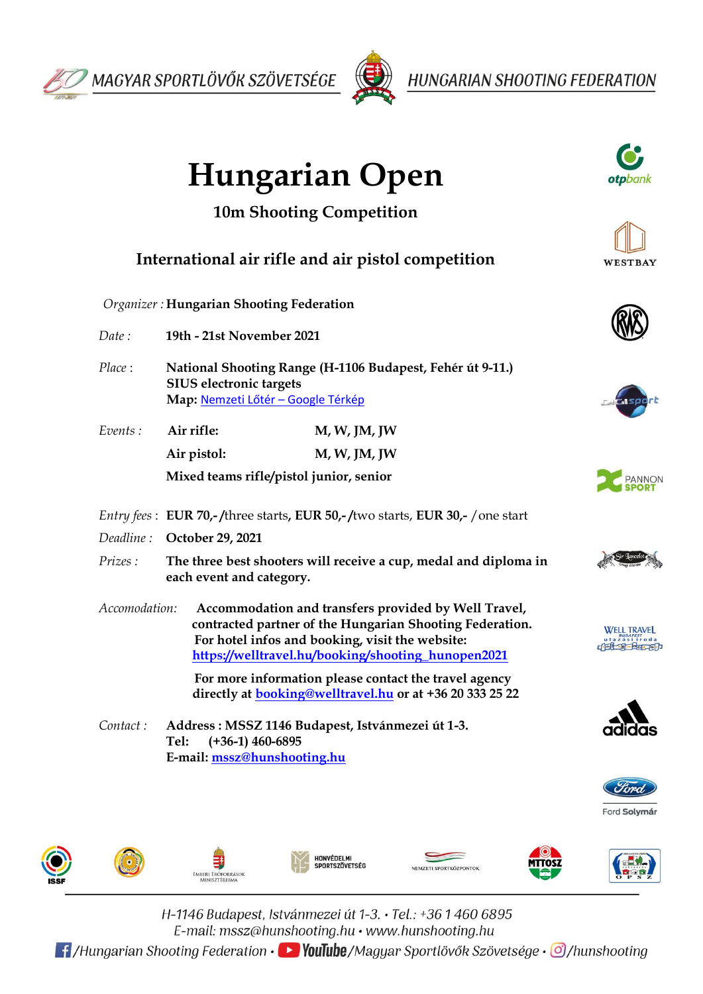



**HUNGARIAN SHOOTING FEDERATION** 







H-1146 Budapest, Istvánmezei út 1-3. • Tel.: +36 1 460 6895 E-mail:  $msz@hunshooting.hu \cdot www.hunshooting.hu$ 

**Et /Hungarian Shooting Federation • De YouTube**/Magyar Sportlövők Szövetsége • O/hunshooting